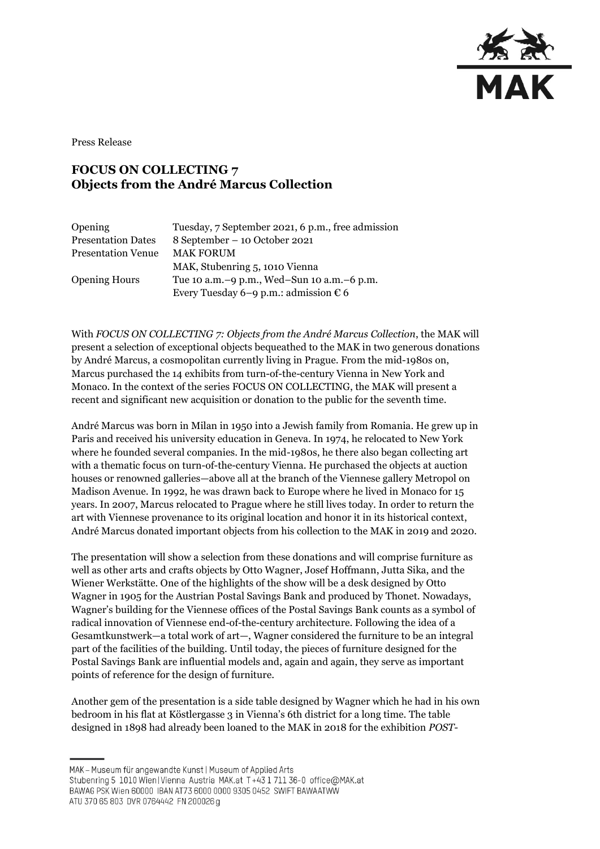

Press Release

## **FOCUS ON COLLECTING 7 Objects from the André Marcus Collection**

| Opening                   | Tuesday, 7 September 2021, 6 p.m., free admission |
|---------------------------|---------------------------------------------------|
| <b>Presentation Dates</b> | 8 September – 10 October 2021                     |
| <b>Presentation Venue</b> | <b>MAK FORUM</b>                                  |
|                           | MAK, Stubenring 5, 1010 Vienna                    |
| <b>Opening Hours</b>      | Tue 10 a.m. -9 p.m., Wed-Sun 10 a.m. -6 p.m.      |
|                           | Every Tuesday 6–9 p.m.: admission $\epsilon$ 6    |

With *FOCUS ON COLLECTING 7: Objects from the André Marcus Collection*, the MAK will present a selection of exceptional objects bequeathed to the MAK in two generous donations by André Marcus, a cosmopolitan currently living in Prague. From the mid-1980s on, Marcus purchased the 14 exhibits from turn-of-the-century Vienna in New York and Monaco. In the context of the series FOCUS ON COLLECTING, the MAK will present a recent and significant new acquisition or donation to the public for the seventh time.

André Marcus was born in Milan in 1950 into a Jewish family from Romania. He grew up in Paris and received his university education in Geneva. In 1974, he relocated to New York where he founded several companies. In the mid-1980s, he there also began collecting art with a thematic focus on turn-of-the-century Vienna. He purchased the objects at auction houses or renowned galleries—above all at the branch of the Viennese gallery Metropol on Madison Avenue. In 1992, he was drawn back to Europe where he lived in Monaco for 15 years. In 2007, Marcus relocated to Prague where he still lives today. In order to return the art with Viennese provenance to its original location and honor it in its historical context, André Marcus donated important objects from his collection to the MAK in 2019 and 2020.

The presentation will show a selection from these donations and will comprise furniture as well as other arts and crafts objects by Otto Wagner, Josef Hoffmann, Jutta Sika, and the Wiener Werkstätte. One of the highlights of the show will be a desk designed by Otto Wagner in 1905 for the Austrian Postal Savings Bank and produced by Thonet. Nowadays, Wagner's building for the Viennese offices of the Postal Savings Bank counts as a symbol of radical innovation of Viennese end-of-the-century architecture. Following the idea of a Gesamtkunstwerk—a total work of art—, Wagner considered the furniture to be an integral part of the facilities of the building. Until today, the pieces of furniture designed for the Postal Savings Bank are influential models and, again and again, they serve as important points of reference for the design of furniture.

Another gem of the presentation is a side table designed by Wagner which he had in his own bedroom in his flat at Köstlergasse 3 in Vienna's 6th district for a long time. The table designed in 1898 had already been loaned to the MAK in 2018 for the exhibition *POST-*

MAK - Museum für angewandte Kunst | Museum of Applied Arts

ATU 370 65 803 DVR 0764442 FN 200026 g

Stubenring 5 1010 Wien | Vienna Austria MAK.at T+43 1 711 36-0 office@MAK.at

BAWAG PSK Wien 60000 IBAN AT73 6000 0000 9305 0452 SWIFT BAWAATWW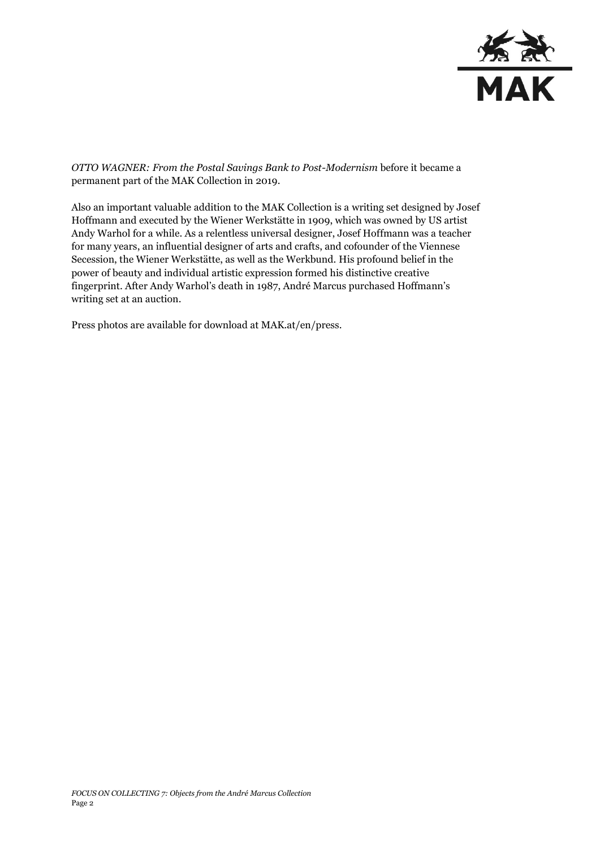

*OTTO WAGNER: From the Postal Savings Bank to Post-Modernism* before it became a permanent part of the MAK Collection in 2019.

Also an important valuable addition to the MAK Collection is a writing set designed by Josef Hoffmann and executed by the Wiener Werkstätte in 1909, which was owned by US artist Andy Warhol for a while. As a relentless universal designer, Josef Hoffmann was a teacher for many years, an influential designer of arts and crafts, and cofounder of the Viennese Secession, the Wiener Werkstätte, as well as the Werkbund. His profound belief in the power of beauty and individual artistic expression formed his distinctive creative fingerprint. After Andy Warhol's death in 1987, André Marcus purchased Hoffmann's writing set at an auction.

Press photos are available for download at MAK.at/en/press.